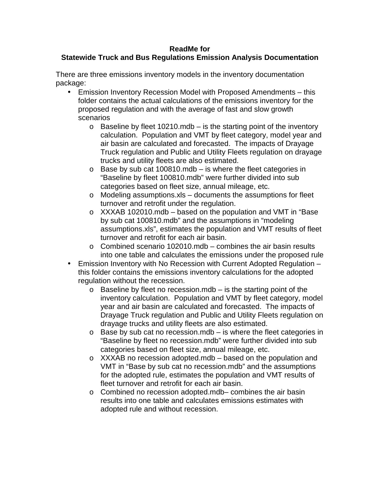## **ReadMe for**

## **Statewide Truck and Bus Regulations Emission Analysis Documentation**

There are three emissions inventory models in the inventory documentation package:

- Emission Inventory Recession Model with Proposed Amendments this folder contains the actual calculations of the emissions inventory for the proposed regulation and with the average of fast and slow growth scenarios
	- $\circ$  Baseline by fleet 10210.mdb is the starting point of the inventory calculation. Population and VMT by fleet category, model year and air basin are calculated and forecasted. The impacts of Drayage Truck regulation and Public and Utility Fleets regulation on drayage trucks and utility fleets are also estimated.
	- $\circ$  Base by sub cat 100810.mdb is where the fleet categories in "Baseline by fleet 100810.mdb" were further divided into sub categories based on fleet size, annual mileage, etc.
	- o Modeling assumptions.xls documents the assumptions for fleet turnover and retrofit under the regulation.
	- o XXXAB 102010.mdb based on the population and VMT in "Base by sub cat 100810.mdb" and the assumptions in "modeling assumptions.xls", estimates the population and VMT results of fleet turnover and retrofit for each air basin.
	- $\circ$  Combined scenario 102010.mdb combines the air basin results into one table and calculates the emissions under the proposed rule
- Emission Inventory with No Recession with Current Adopted Regulation this folder contains the emissions inventory calculations for the adopted regulation without the recession.
	- $\circ$  Baseline by fleet no recession.mdb is the starting point of the inventory calculation. Population and VMT by fleet category, model year and air basin are calculated and forecasted. The impacts of Drayage Truck regulation and Public and Utility Fleets regulation on drayage trucks and utility fleets are also estimated.
	- $\circ$  Base by sub cat no recession.mdb is where the fleet categories in "Baseline by fleet no recession.mdb" were further divided into sub categories based on fleet size, annual mileage, etc.
	- o XXXAB no recession adopted.mdb based on the population and VMT in "Base by sub cat no recession.mdb" and the assumptions for the adopted rule, estimates the population and VMT results of fleet turnover and retrofit for each air basin.
	- o Combined no recession adopted.mdb– combines the air basin results into one table and calculates emissions estimates with adopted rule and without recession.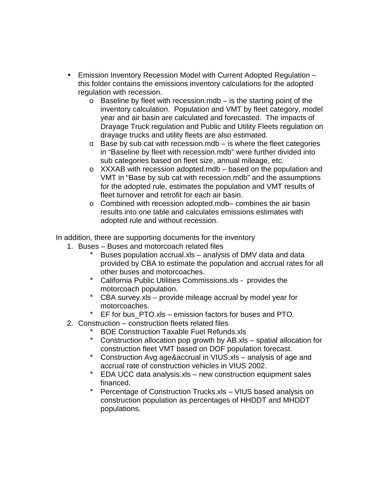- Emission Inventory Recession Model with Current Adopted Regulation this folder contains the emissions inventory calculations for the adopted regulation with recession.
	- $\circ$  Baseline by fleet with recession.mdb is the starting point of the inventory calculation. Population and VMT by fleet category, model year and air basin are calculated and forecasted. The impacts of Drayage Truck regulation and Public and Utility Fleets regulation on drayage trucks and utility fleets are also estimated.
	- $\circ$  Base by sub cat with recession.mdb is where the fleet categories in "Baseline by fleet with recession.mdb" were further divided into sub categories based on fleet size, annual mileage, etc.
	- o XXXAB with recession adopted.mdb based on the population and VMT in "Base by sub cat with recession.mdb" and the assumptions for the adopted rule, estimates the population and VMT results of fleet turnover and retrofit for each air basin.
	- o Combined with recession adopted.mdb– combines the air basin results into one table and calculates emissions estimates with adopted rule and without recession.

In addition, there are supporting documents for the inventory

- 1. Buses Buses and motorcoach related files
	- \* Buses population accrual.xls analysis of DMV data and data provided by CBA to estimate the population and accrual rates for all other buses and motorcoaches.
	- \* California Public Utilities Commissions.xls provides the motorcoach population.
	- \* CBA survey.xls provide mileage accrual by model year for motorcoaches.
	- $*$  EF for bus PTO.xls emission factors for buses and PTO.
- 2. Construction construction fleets related files
	- \* BOE Construction Taxable Fuel Refunds.xls
	- \* Construction allocation pop growth by AB.xls spatial allocation for construction fleet VMT based on DOF population forecast.
	- \* Construction Avg age&accrual in VIUS.xls analysis of age and accrual rate of construction vehicles in VIUS 2002.
	- \* EDA UCC data analysis.xls new construction equipment sales financed.
	- \* Percentage of Construction Trucks.xls VIUS based analysis on construction population as percentages of HHDDT and MHDDT populations.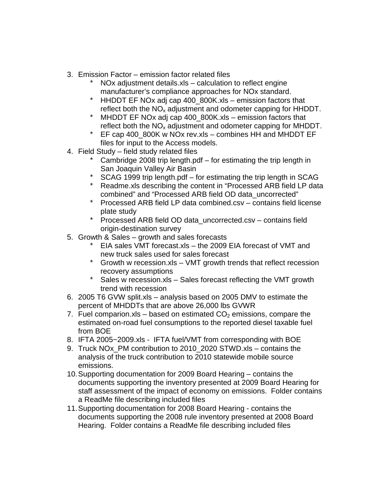- 3. Emission Factor emission factor related files
	- \* NOx adjustment details.xls calculation to reflect engine manufacturer's compliance approaches for NOx standard.
	- \* HHDDT EF NOx adj cap 400\_800K.xls emission factors that reflect both the  $NO<sub>x</sub>$  adjustment and odometer capping for HHDDT.
	- \* MHDDT EF NOx adj cap 400\_800K.xls emission factors that reflect both the  $NO<sub>x</sub>$  adjustment and odometer capping for MHDDT.
	- \* EF cap 400\_800K w NOx rev.xls combines HH and MHDDT EF files for input to the Access models.
- 4. Field Study field study related files
	- \* Cambridge 2008 trip length.pdf for estimating the trip length in San Joaquin Valley Air Basin
	- \* SCAG 1999 trip length.pdf for estimating the trip length in SCAG
	- \* Readme.xls describing the content in "Processed ARB field LP data combined" and "Processed ARB field OD data\_uncorrected"
	- \* Processed ARB field LP data combined.csv contains field license plate study
	- \* Processed ARB field OD data\_uncorrected.csv contains field origin-destination survey
- 5. Growth & Sales growth and sales forecasts
	- \* EIA sales VMT forecast.xls the 2009 EIA forecast of VMT and new truck sales used for sales forecast
	- \* Growth w recession.xls VMT growth trends that reflect recession recovery assumptions
	- \* Sales w recession.xls Sales forecast reflecting the VMT growth trend with recession
- 6. 2005 T6 GVW split.xls analysis based on 2005 DMV to estimate the percent of MHDDTs that are above 26,000 lbs GVWR
- 7. Fuel comparion.xls based on estimated  $CO<sub>2</sub>$  emissions, compare the estimated on-road fuel consumptions to the reported diesel taxable fuel from BOE
- 8. IFTA 2005~2009.xls IFTA fuel/VMT from corresponding with BOE
- 9. Truck NO<sub>x</sub> PM contribution to 2010 2020 STWD.xls contains the analysis of the truck contribution to 2010 statewide mobile source emissions.
- 10. Supporting documentation for 2009 Board Hearing contains the documents supporting the inventory presented at 2009 Board Hearing for staff assessment of the impact of economy on emissions. Folder contains a ReadMe file describing included files
- 11. Supporting documentation for 2008 Board Hearing contains the documents supporting the 2008 rule inventory presented at 2008 Board Hearing. Folder contains a ReadMe file describing included files